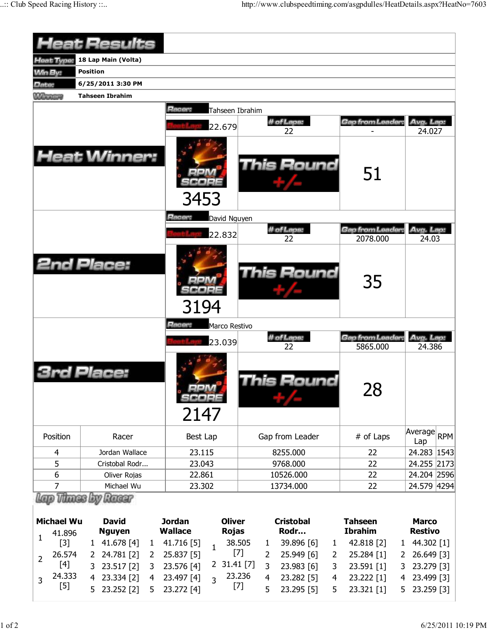|                                 | <b>Heat Results</b>             |                                                                  |                                                                                                                                                                                                                                                                                                                                                                                                                                                                                                                                |                                  |                                |  |  |  |  |  |  |
|---------------------------------|---------------------------------|------------------------------------------------------------------|--------------------------------------------------------------------------------------------------------------------------------------------------------------------------------------------------------------------------------------------------------------------------------------------------------------------------------------------------------------------------------------------------------------------------------------------------------------------------------------------------------------------------------|----------------------------------|--------------------------------|--|--|--|--|--|--|
| <b>Heat Type:</b>               | 18 Lap Main (Volta)             |                                                                  |                                                                                                                                                                                                                                                                                                                                                                                                                                                                                                                                |                                  |                                |  |  |  |  |  |  |
| <b>Min By:</b>                  | <b>Position</b>                 |                                                                  |                                                                                                                                                                                                                                                                                                                                                                                                                                                                                                                                |                                  |                                |  |  |  |  |  |  |
| Date:                           | 6/25/2011 3:30 PM               |                                                                  |                                                                                                                                                                                                                                                                                                                                                                                                                                                                                                                                |                                  |                                |  |  |  |  |  |  |
| <b>Winners</b>                  | <b>Tahseen Ibrahim</b>          |                                                                  |                                                                                                                                                                                                                                                                                                                                                                                                                                                                                                                                |                                  |                                |  |  |  |  |  |  |
|                                 |                                 | Racer:<br>Tahseen Ibrahim<br>22.679                              | # of Laps:<br>22                                                                                                                                                                                                                                                                                                                                                                                                                                                                                                               | Gap from Leader.                 | Avg. Lap:<br>24.027            |  |  |  |  |  |  |
|                                 | <b>Heat Winner:</b>             | 3453                                                             | <b>This Round</b>                                                                                                                                                                                                                                                                                                                                                                                                                                                                                                              | 51                               |                                |  |  |  |  |  |  |
|                                 |                                 | Racer:<br>David Nguyen                                           |                                                                                                                                                                                                                                                                                                                                                                                                                                                                                                                                |                                  |                                |  |  |  |  |  |  |
|                                 |                                 |                                                                  | # of Laps:                                                                                                                                                                                                                                                                                                                                                                                                                                                                                                                     | Gap from Leader                  | Avg. Lap:                      |  |  |  |  |  |  |
|                                 |                                 | 22.832                                                           | 22                                                                                                                                                                                                                                                                                                                                                                                                                                                                                                                             | 2078.000                         | 24.03                          |  |  |  |  |  |  |
|                                 | <b>2nd Place:</b>               |                                                                  | <b>This Round</b>                                                                                                                                                                                                                                                                                                                                                                                                                                                                                                              | 35                               |                                |  |  |  |  |  |  |
|                                 |                                 | 3194<br>Racer:<br>Marco Restivo                                  |                                                                                                                                                                                                                                                                                                                                                                                                                                                                                                                                |                                  |                                |  |  |  |  |  |  |
|                                 |                                 | 23.039                                                           | # of Laps:<br>22                                                                                                                                                                                                                                                                                                                                                                                                                                                                                                               | Gap from Leader:<br>5865.000     | Avg. Lap:<br>24.386            |  |  |  |  |  |  |
|                                 | Place:                          | $=1.4$<br>$= 100$<br>2147                                        | his Round                                                                                                                                                                                                                                                                                                                                                                                                                                                                                                                      | 28                               |                                |  |  |  |  |  |  |
| Position                        | Racer                           | Best Lap                                                         | Gap from Leader                                                                                                                                                                                                                                                                                                                                                                                                                                                                                                                | # of Laps                        | Average RPM<br>Lap             |  |  |  |  |  |  |
| 4                               | Jordan Wallace                  | 23.115                                                           | 8255.000                                                                                                                                                                                                                                                                                                                                                                                                                                                                                                                       | 22                               | 24.283 1543                    |  |  |  |  |  |  |
| 5                               | Cristobal Rodr                  | 23.043                                                           | 9768.000                                                                                                                                                                                                                                                                                                                                                                                                                                                                                                                       | 22                               | 24.255 2173                    |  |  |  |  |  |  |
| 6                               | Oliver Rojas                    | 22.861                                                           | 10526.000                                                                                                                                                                                                                                                                                                                                                                                                                                                                                                                      | 22                               | 24.204 2596                    |  |  |  |  |  |  |
| 7                               | Michael Wu                      | 23.302                                                           | 13734.000                                                                                                                                                                                                                                                                                                                                                                                                                                                                                                                      | 22                               | 24.579 4294                    |  |  |  |  |  |  |
|                                 | Racer                           |                                                                  |                                                                                                                                                                                                                                                                                                                                                                                                                                                                                                                                |                                  |                                |  |  |  |  |  |  |
|                                 |                                 |                                                                  |                                                                                                                                                                                                                                                                                                                                                                                                                                                                                                                                |                                  |                                |  |  |  |  |  |  |
| <b>Michael Wu</b>               | <b>David</b><br><b>Nguyen</b>   | <b>Jordan</b><br><b>Oliver</b><br><b>Wallace</b><br><b>Rojas</b> | <b>Cristobal</b><br>Rodr                                                                                                                                                                                                                                                                                                                                                                                                                                                                                                       | <b>Tahseen</b><br><b>Ibrahim</b> | <b>Marco</b><br><b>Restivo</b> |  |  |  |  |  |  |
| 41.896<br>$\mathbf{1}$<br>$[3]$ | 41.678 [4]<br>1<br>$\mathbf{1}$ | 41.716 [5]                                                       | 38.505<br>39.896 [6]<br>1<br>1                                                                                                                                                                                                                                                                                                                                                                                                                                                                                                 | 42.818 [2]<br>1                  | 44.302 [1]                     |  |  |  |  |  |  |
| 26.574                          | 24.781 [2]<br>2<br>2            | $\mathbf{1}$<br>$[7]$<br>25.837 [5]                              | 25.949 [6]<br>$\overline{2}$<br>$\overline{2}$                                                                                                                                                                                                                                                                                                                                                                                                                                                                                 | 25.284 [1]<br>2                  | 26.649 [3]                     |  |  |  |  |  |  |
| 2<br>$[4]$                      | 23.517 [2]<br>3<br>3            | 2 31.41 [7]<br>23.576 [4]                                        | 3<br>23.983 [6]<br>3                                                                                                                                                                                                                                                                                                                                                                                                                                                                                                           | 23.591 [1]<br>3                  | 23.279 [3]                     |  |  |  |  |  |  |
| 24.333<br>3                     | 23.334 [2]<br>4<br>4            | 23.497 [4]<br>3                                                  | 23.236<br>23.282 [5]<br>4<br>4                                                                                                                                                                                                                                                                                                                                                                                                                                                                                                 | 23.222 [1]<br>4                  | 23.499 [3]                     |  |  |  |  |  |  |
| $[5]$                           | 23.252 [2]<br>5<br>5            | 23.272 [4]                                                       | $[7] \centering% \includegraphics[width=1\textwidth]{images/TransY.pdf} \caption{The first two different values of $d=3$ and $d=4$ (left) and $d=5$ (right) and $d=6$ (right) and $d=6$ (right) and $d=6$ (right) and $d=6$ (right) and $d=6$ (right) and $d=6$ (right) and $d=6$ (right) and $d=6$ (right) and $d=6$ (right) and $d=6$ (right) and $d=6$ (right) and $d=6$ (right) and $d=6$ (right) and $d=6$ (right) and $d=6$ (right) and $d=6$ (right) and $d=6$ (right) and $d=6$ (right) and $$<br>5<br>23.295 [5]<br>5 | 23.321 [1]<br>5                  | 23.259 [3]                     |  |  |  |  |  |  |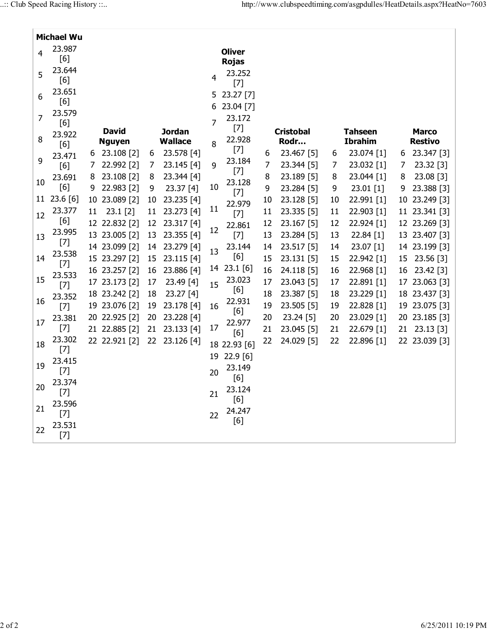r

|                | <b>Michael Wu</b> |                                                                  |                  |    |                                                                                                                                                                                                                                                                                                                                                                                                                                                                                                        |    |                          |    |                                  |                                |               |  |
|----------------|-------------------|------------------------------------------------------------------|------------------|----|--------------------------------------------------------------------------------------------------------------------------------------------------------------------------------------------------------------------------------------------------------------------------------------------------------------------------------------------------------------------------------------------------------------------------------------------------------------------------------------------------------|----|--------------------------|----|----------------------------------|--------------------------------|---------------|--|
| $\overline{4}$ | 23.987<br>[6]     |                                                                  |                  |    | <b>Oliver</b><br><b>Rojas</b>                                                                                                                                                                                                                                                                                                                                                                                                                                                                          |    |                          |    |                                  |                                |               |  |
| 5              | 23.644<br>[6]     |                                                                  |                  | 4  | 23.252<br>$[7]$                                                                                                                                                                                                                                                                                                                                                                                                                                                                                        |    |                          |    |                                  |                                |               |  |
| 6              | 23.651<br>[6]     |                                                                  |                  | 6  | 5 23.27 [7]<br>23.04 [7]                                                                                                                                                                                                                                                                                                                                                                                                                                                                               |    |                          |    |                                  |                                |               |  |
| 7              | 23.579<br>[6]     |                                                                  |                  | 7  | 23.172<br>$[7]$                                                                                                                                                                                                                                                                                                                                                                                                                                                                                        |    |                          |    |                                  |                                |               |  |
| 8              | 23.922            | <b>David</b><br><b>Jordan</b><br><b>Wallace</b><br><b>Nguyen</b> |                  |    | 22.928                                                                                                                                                                                                                                                                                                                                                                                                                                                                                                 |    | <b>Cristobal</b><br>Rodr |    | <b>Tahseen</b><br><b>Ibrahim</b> | <b>Marco</b><br><b>Restivo</b> |               |  |
|                | [6]               | 23.108 [2]<br>6                                                  | 23.578 [4]<br>6  | 8  | $[7] \centering% \includegraphics[width=1\textwidth]{images/TransY.pdf} \caption{The first two different values of $d=3$ and $d=4$ (left) and $d=5$ (right) and $d=6$ (right) and $d=6$ (right) and $d=6$ (right) and $d=6$ (right) and $d=6$ (right) and $d=6$ (right) and $d=6$ (right) and $d=6$ (right) and $d=6$ (right) and $d=6$ (right) and $d=6$ (right) and $d=6$ (right) and $d=6$ (right) and $d=6$ (right) and $d=6$ (right) and $d=6$ (right) and $d=6$ (right) and $d=6$ (right) and $$ | 6  | 23.467 [5]               | 6  | 23.074 [1]                       | 6                              | 23.347 [3]    |  |
| 9              | 23.471<br>[6]     | 22.992 [2]<br>7                                                  | 23.145 [4]<br>7  | 9  | 23.184                                                                                                                                                                                                                                                                                                                                                                                                                                                                                                 | 7  | 23.344 [5]               | 7  | 23.032 [1]                       | 7                              | 23.32 [3]     |  |
|                | 23.691            | 23.108 [2]<br>8                                                  | 23.344 [4]<br>8  |    | $[7]$                                                                                                                                                                                                                                                                                                                                                                                                                                                                                                  | 8  | 23.189 [5]               | 8  | 23.044 [1]                       | 8                              | 23.08 [3]     |  |
| 10             | [6]               | 22.983 [2]<br>9                                                  | 23.37 [4]<br>9   | 10 | 23.128                                                                                                                                                                                                                                                                                                                                                                                                                                                                                                 | 9  | 23.284 [5]               | 9  | 23.01 [1]                        | 9                              | 23.388 [3]    |  |
| 11             | 23.6[6]           | 10 23.089 [2]                                                    | 23.235 [4]<br>10 |    | $[7]$<br>22.979                                                                                                                                                                                                                                                                                                                                                                                                                                                                                        | 10 | 23.128 [5]               | 10 | 22.991 [1]                       |                                | 10 23.249 [3] |  |
| 12             | 23.377            | 11<br>$23.1$ [2]                                                 | 23.273 [4]<br>11 | 11 | $[7]$                                                                                                                                                                                                                                                                                                                                                                                                                                                                                                  | 11 | 23.335 [5]               | 11 | 22.903 [1]                       |                                | 11 23.341 [3] |  |
|                | [6]               | 12 22.832 [2]                                                    | 12<br>23.317 [4] |    | 22.861                                                                                                                                                                                                                                                                                                                                                                                                                                                                                                 | 12 | 23.167 [5]               | 12 | 22.924 [1]                       |                                | 12 23.269 [3] |  |
| 13             | 23.995            | 13 23.005 [2]                                                    | 23.355 [4]<br>13 | 12 | $[7]$                                                                                                                                                                                                                                                                                                                                                                                                                                                                                                  | 13 | 23.284 [5]               | 13 | 22.84 [1]                        |                                | 13 23.407 [3] |  |
|                | $[7]$             | 14 23.099 [2]                                                    | 23.279 [4]<br>14 | 13 | 23.144                                                                                                                                                                                                                                                                                                                                                                                                                                                                                                 | 14 | 23.517 [5]               | 14 | 23.07 [1]                        |                                | 14 23.199 [3] |  |
| 14             | 23.538<br>$[7]$   | 15 23.297 [2]                                                    | 23.115 [4]<br>15 |    | [6]                                                                                                                                                                                                                                                                                                                                                                                                                                                                                                    | 15 | 23.131 [5]               | 15 | 22.942 [1]                       | 15                             | 23.56 [3]     |  |
|                | 23.533            | 16 23.257 [2]                                                    | 23.886 [4]<br>16 | 14 | $23.1$ [6]                                                                                                                                                                                                                                                                                                                                                                                                                                                                                             | 16 | 24.118 [5]               | 16 | 22.968 [1]                       | 16                             | 23.42 [3]     |  |
| 15             | $[7]$             | 17 23.173 [2]                                                    | 23.49 [4]<br>17  | 15 | 23.023                                                                                                                                                                                                                                                                                                                                                                                                                                                                                                 | 17 | 23.043 [5]               | 17 | 22.891 [1]                       |                                | 17 23.063 [3] |  |
|                | 23.352            | 18 23.242 [2]                                                    | 23.27 [4]<br>18  |    | [6]                                                                                                                                                                                                                                                                                                                                                                                                                                                                                                    | 18 | 23.387 [5]               | 18 | 23.229 [1]                       |                                | 18 23.437 [3] |  |
| 16             | $[7]$             | 19 23.076 [2]                                                    | 23.178 [4]<br>19 | 16 | 22.931<br>[6]                                                                                                                                                                                                                                                                                                                                                                                                                                                                                          | 19 | 23.505 [5]               | 19 | 22.828 [1]                       |                                | 19 23.075 [3] |  |
| 17             | 23.381            | 20 22.925 [2]                                                    | 23.228 [4]<br>20 |    | 22.977                                                                                                                                                                                                                                                                                                                                                                                                                                                                                                 | 20 | 23.24 [5]                | 20 | 23.029 [1]                       |                                | 20 23.185 [3] |  |
|                | $[7]$             | 21 22.885 [2]                                                    | 23.133 [4]<br>21 | 17 | [6]                                                                                                                                                                                                                                                                                                                                                                                                                                                                                                    | 21 | 23.045 [5]               | 21 | 22.679 [1]                       |                                | 21 23.13 [3]  |  |
| 18             | 23.302<br>$[7]$   | 22 22.921 [2]                                                    | 23.126 [4]<br>22 |    | 18 22.93 [6]                                                                                                                                                                                                                                                                                                                                                                                                                                                                                           | 22 | 24.029 [5]               | 22 | 22.896 [1]                       |                                | 22 23.039 [3] |  |
| 19             | 23.415<br>$[7]$   |                                                                  |                  | 20 | 19 22.9 [6]<br>23.149                                                                                                                                                                                                                                                                                                                                                                                                                                                                                  |    |                          |    |                                  |                                |               |  |
|                | 23.374            |                                                                  |                  |    | [6]                                                                                                                                                                                                                                                                                                                                                                                                                                                                                                    |    |                          |    |                                  |                                |               |  |
| 20             | $[7]$             |                                                                  |                  | 21 | 23.124                                                                                                                                                                                                                                                                                                                                                                                                                                                                                                 |    |                          |    |                                  |                                |               |  |
| 21             | 23.596<br>$[7]$   |                                                                  |                  | 22 | [6]<br>24.247                                                                                                                                                                                                                                                                                                                                                                                                                                                                                          |    |                          |    |                                  |                                |               |  |
| 22             | 23.531<br>$[7]$   |                                                                  |                  |    | [6]                                                                                                                                                                                                                                                                                                                                                                                                                                                                                                    |    |                          |    |                                  |                                |               |  |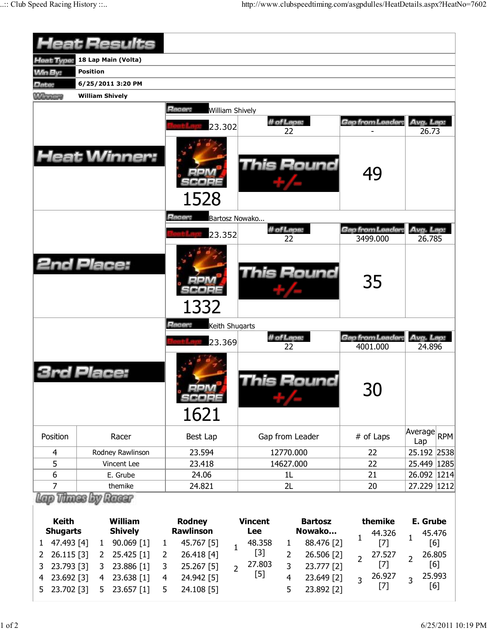|                               | <b>Heat Results</b>              |                                                 |                                                                 |                                   |                                 |  |  |  |  |  |  |
|-------------------------------|----------------------------------|-------------------------------------------------|-----------------------------------------------------------------|-----------------------------------|---------------------------------|--|--|--|--|--|--|
| <b>Heat Type:</b>             | 18 Lap Main (Volta)              |                                                 |                                                                 |                                   |                                 |  |  |  |  |  |  |
| <b>Min By:</b>                | <b>Position</b>                  |                                                 |                                                                 |                                   |                                 |  |  |  |  |  |  |
| Date:                         | 6/25/2011 3:20 PM                |                                                 |                                                                 |                                   |                                 |  |  |  |  |  |  |
| <b>Winners</b>                | <b>William Shively</b>           |                                                 |                                                                 |                                   |                                 |  |  |  |  |  |  |
|                               | Racer:<br><b>William Shively</b> |                                                 |                                                                 |                                   |                                 |  |  |  |  |  |  |
|                               |                                  | 23.302                                          | # of Laps:                                                      | Gap from Leader.                  | Avg. Lap:                       |  |  |  |  |  |  |
|                               |                                  |                                                 | 22                                                              |                                   | 26.73                           |  |  |  |  |  |  |
|                               | <b>Heat Winner:</b>              | 1528                                            | This Round                                                      | 49                                |                                 |  |  |  |  |  |  |
|                               |                                  | Racer:<br>Bartosz Nowako                        |                                                                 |                                   |                                 |  |  |  |  |  |  |
|                               |                                  | 23.352                                          | # of Laps:                                                      | Gap from Leader:                  | Avg. Lap:                       |  |  |  |  |  |  |
|                               |                                  |                                                 | 22                                                              | 3499.000                          | 26.785                          |  |  |  |  |  |  |
|                               | <b>2nd Place:</b>                | 1332                                            | This Round                                                      | 35                                |                                 |  |  |  |  |  |  |
|                               |                                  | Racer:<br>Keith Shugarts                        |                                                                 |                                   |                                 |  |  |  |  |  |  |
|                               |                                  | 23.369                                          | # of Laps:                                                      | Gap from Leader:                  | Avg. Lap:                       |  |  |  |  |  |  |
|                               |                                  |                                                 | 22                                                              | 4001.000                          | 24.896                          |  |  |  |  |  |  |
|                               | Place:                           | $=1.0274$<br>1e = = =<br>1621                   | his Round                                                       | 30                                |                                 |  |  |  |  |  |  |
|                               |                                  |                                                 |                                                                 |                                   |                                 |  |  |  |  |  |  |
| Position                      | Racer                            | Best Lap                                        | Gap from Leader                                                 | # of Laps                         | Average RPM<br>Lap              |  |  |  |  |  |  |
| 4                             | Rodney Rawlinson                 | 23.594                                          | 12770.000                                                       | 22                                | 25.192 2538                     |  |  |  |  |  |  |
| 5                             | Vincent Lee                      | 23.418                                          | 14627.000                                                       | 22                                | 25.449 1285                     |  |  |  |  |  |  |
| 6                             | E. Grube                         | 24.06                                           | 1 <sub>L</sub>                                                  | 21                                | 26.092 1214                     |  |  |  |  |  |  |
| $\overline{7}$                | themike                          | 24.821                                          | 2L                                                              | 20                                | 27.229 1212                     |  |  |  |  |  |  |
| Vitings f                     | Racer                            |                                                 |                                                                 |                                   |                                 |  |  |  |  |  |  |
| <b>Keith</b>                  | <b>William</b>                   | <b>Rodney</b>                                   | <b>Bartosz</b><br><b>Vincent</b>                                | themike                           | E. Grube                        |  |  |  |  |  |  |
| <b>Shugarts</b><br>1          | <b>Shively</b><br>1              | <b>Rawlinson</b>                                | Nowako<br>Lee                                                   | 44.326<br>1                       | 45.476<br>$\mathbf{1}$          |  |  |  |  |  |  |
| 47.493 [4]<br>2               | 90.069 [1]<br>$\overline{2}$     | 45.767 [5]<br>$\mathbf{1}$<br>$\mathbf{1}$<br>2 | 48.358<br>88.476 [2]<br>$\mathbf{1}$<br>$[3]$<br>$\overline{2}$ | $[7]$<br>27.527                   | [6]<br>26.805                   |  |  |  |  |  |  |
| 26.115 [3]<br>23.793 [3]<br>3 | 25.425 [1]<br>23.886 [1]<br>3    | 26.418 [4]<br>25.267 [5]<br>3                   | 26.506 [2]<br>27.803<br>3<br>23.777 [2]                         | $\overline{2}$<br>$[7]$           | $\overline{2}$<br>[6]           |  |  |  |  |  |  |
| 23.692 [3]<br>4               | 23.638 [1]<br>4                  | $\overline{2}$<br>24.942 [5]<br>4               | $[5]$<br>4<br>23.649 [2]                                        | 26.927<br>$\overline{3}$<br>$[7]$ | 25.993<br>$\overline{3}$<br>[6] |  |  |  |  |  |  |